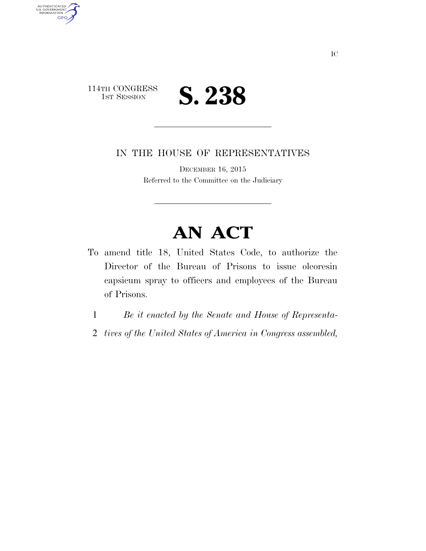

AUTHENTICATED<br>U.S. GOVERNMENT<br>INFORMATION

**GPO** 

IN THE HOUSE OF REPRESENTATIVES

DECEMBER 16, 2015 Referred to the Committee on the Judiciary

## **AN ACT**

- To amend title 18, United States Code, to authorize the Director of the Bureau of Prisons to issue oleoresin capsicum spray to officers and employees of the Bureau of Prisons.
	- 1 *Be it enacted by the Senate and House of Representa-*
	- 2 *tives of the United States of America in Congress assembled,*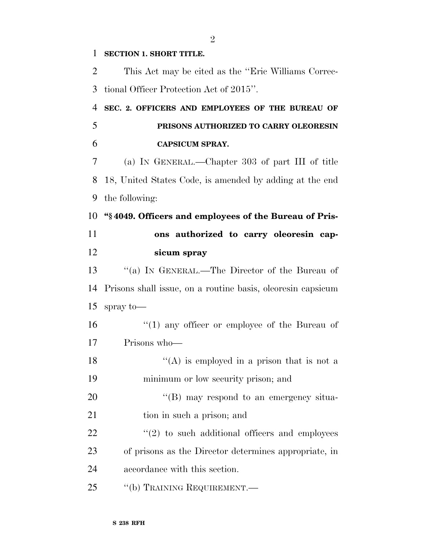## **SECTION 1. SHORT TITLE.**

 This Act may be cited as the ''Eric Williams Correc- tional Officer Protection Act of 2015''. **SEC. 2. OFFICERS AND EMPLOYEES OF THE BUREAU OF PRISONS AUTHORIZED TO CARRY OLEORESIN CAPSICUM SPRAY.**  (a) IN GENERAL.—Chapter 303 of part III of title 18, United States Code, is amended by adding at the end the following: **''§ 4049. Officers and employees of the Bureau of Pris- ons authorized to carry oleoresin cap- sicum spray**  ''(a) IN GENERAL.—The Director of the Bureau of Prisons shall issue, on a routine basis, oleoresin capsicum spray to—  $\frac{1}{2}$  (1) any officer or employee of the Bureau of Prisons who—  $\langle (A)$  is employed in a prison that is not a minimum or low security prison; and 20 "(B) may respond to an emergency situa-21 tion in such a prison; and  $"(2)$  to such additional officers and employees of prisons as the Director determines appropriate, in accordance with this section. 25 "(b) TRAINING REQUIREMENT.—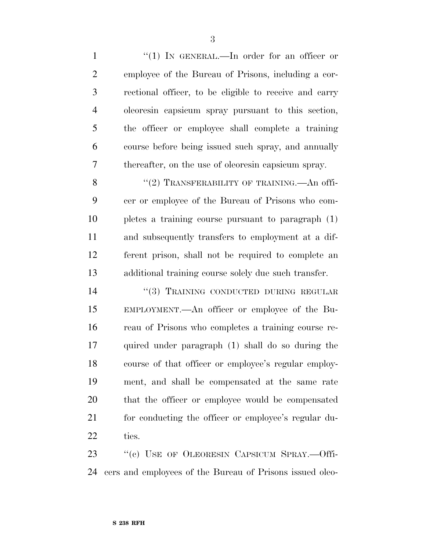1 "(1) IN GENERAL.—In order for an officer or employee of the Bureau of Prisons, including a cor- rectional officer, to be eligible to receive and carry oleoresin capsicum spray pursuant to this section, the officer or employee shall complete a training course before being issued such spray, and annually thereafter, on the use of oleoresin capsicum spray. 8 "(2) TRANSFERABILITY OF TRAINING.—An offi-

 cer or employee of the Bureau of Prisons who com- pletes a training course pursuant to paragraph (1) and subsequently transfers to employment at a dif- ferent prison, shall not be required to complete an additional training course solely due such transfer.

14 "(3) TRAINING CONDUCTED DURING REGULAR EMPLOYMENT.—An officer or employee of the Bu- reau of Prisons who completes a training course re- quired under paragraph (1) shall do so during the course of that officer or employee's regular employ- ment, and shall be compensated at the same rate that the officer or employee would be compensated 21 for conducting the officer or employee's regular du-ties.

23 "(c) USE OF OLEORESIN CAPSICUM SPRAY.—Offi-cers and employees of the Bureau of Prisons issued oleo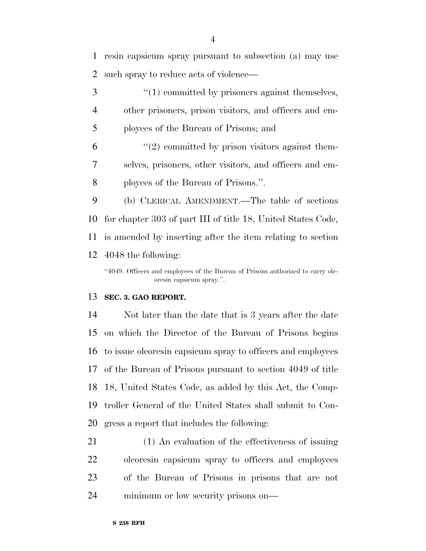resin capsicum spray pursuant to subsection (a) may use such spray to reduce acts of violence—

3 (1) committed by prisoners against themselves, other prisoners, prison visitors, and officers and em-ployees of the Bureau of Prisons; and

 "(2) committed by prison visitors against them- selves, prisoners, other visitors, and officers and em-ployees of the Bureau of Prisons.''.

 (b) CLERICAL AMENDMENT.—The table of sections for chapter 303 of part III of title 18, United States Code, is amended by inserting after the item relating to section 4048 the following:

''4049. Officers and employees of the Bureau of Prisons authorized to carry oleoresin capsicum spray.''.

## **SEC. 3. GAO REPORT.**

 Not later than the date that is 3 years after the date on which the Director of the Bureau of Prisons begins to issue oleoresin capsicum spray to officers and employees of the Bureau of Prisons pursuant to section 4049 of title 18, United States Code, as added by this Act, the Comp- troller General of the United States shall submit to Con-gress a report that includes the following:

 (1) An evaluation of the effectiveness of issuing oleoresin capsicum spray to officers and employees of the Bureau of Prisons in prisons that are not minimum or low security prisons on—